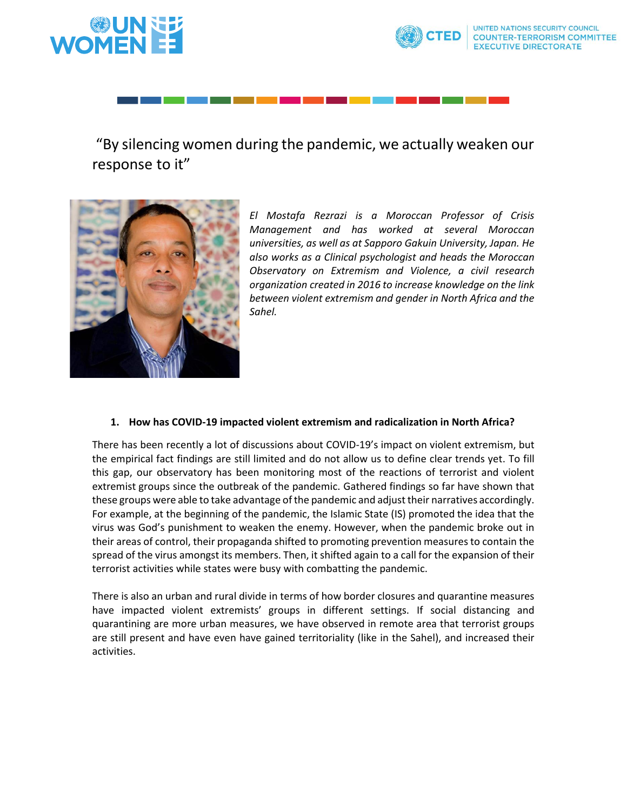

# "By silencing women during the pandemic, we actually weaken our response to it"



*El Mostafa Rezrazi is a Moroccan Professor of Crisis Management and has worked at several Moroccan universities, as well as at Sapporo Gakuin University, Japan. He also works as a Clinical psychologist and heads the Moroccan Observatory on Extremism and Violence, a civil research organization created in 2016 to increase knowledge on the link between violent extremism and gender in North Africa and the Sahel.*

#### **1. How has COVID-19 impacted violent extremism and radicalization in North Africa?**

There has been recently a lot of discussions about COVID-19's impact on violent extremism, but the empirical fact findings are still limited and do not allow us to define clear trends yet. To fill this gap, our observatory has been monitoring most of the reactions of terrorist and violent extremist groups since the outbreak of the pandemic. Gathered findings so far have shown that these groups were able to take advantage of the pandemic and adjust their narratives accordingly. For example, at the beginning of the pandemic, the Islamic State (IS) promoted the idea that the virus was God's punishment to weaken the enemy. However, when the pandemic broke out in their areas of control, their propaganda shifted to promoting prevention measures to contain the spread of the virus amongst its members. Then, it shifted again to a call for the expansion of their terrorist activities while states were busy with combatting the pandemic.

There is also an urban and rural divide in terms of how border closures and quarantine measures have impacted violent extremists' groups in different settings. If social distancing and quarantining are more urban measures, we have observed in remote area that terrorist groups are still present and have even have gained territoriality (like in the Sahel), and increased their activities.